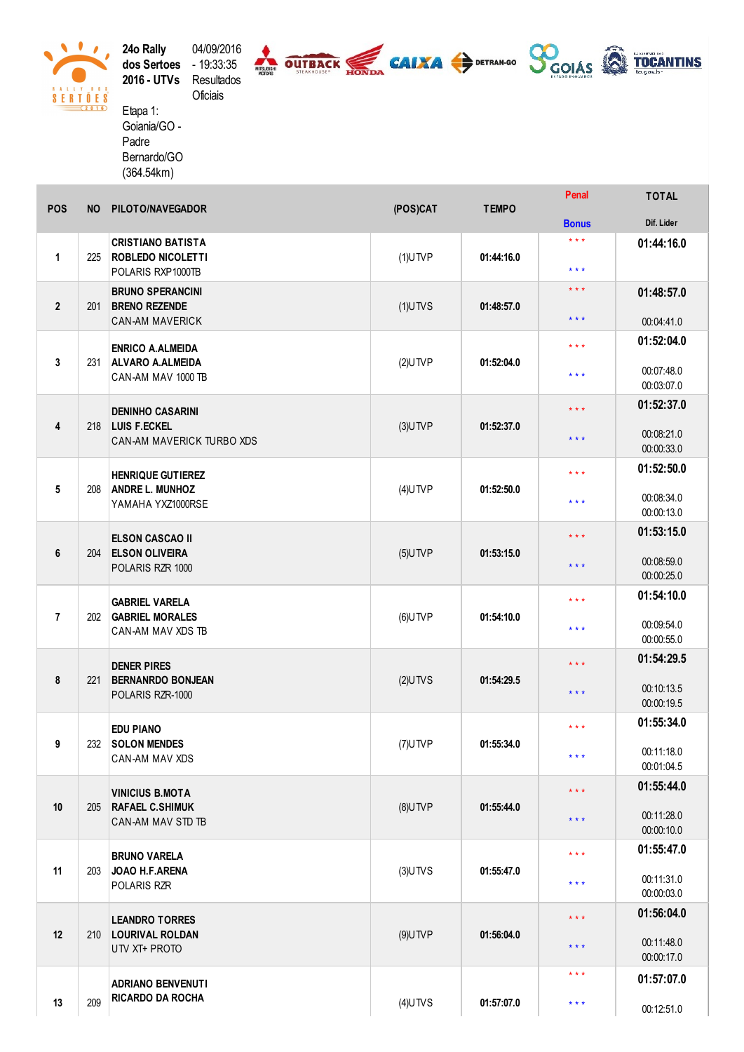**24o Rally** 04/09/2016<br>**dos Sertoes** - 19:33:35 2016 - UTVs Resultados





Oficiais Etapa 1: Goiania/GO -Padre Bernardo/GO  $(364.54km)$ 

 $\bullet$  $\bullet$ 

V

 $\begin{array}{c}\n \bullet & \bullet & \bullet & \bullet & \bullet & \bullet \\
\hline\n 8 & \text{E} & \text{R} & \text{T} & \text{O} & \text{E} & \text{S} \\
\hline\n \end{array}$ 

| <b>POS</b>     | <b>NO</b> | PILOTO/NAVEGADOR                                                            | (POS)CAT   | <b>TEMPO</b> | Penal                   | <b>TOTAL</b>             |
|----------------|-----------|-----------------------------------------------------------------------------|------------|--------------|-------------------------|--------------------------|
|                |           |                                                                             |            |              | <b>Bonus</b>            | Dif. Lider               |
| 1              | 225       | <b>CRISTIANO BATISTA</b><br><b>ROBLEDO NICOLETTI</b><br>POLARIS RXP1000TB   | $(1)$ UTVP | 01:44:16.0   | $***$                   | 01:44:16.0               |
|                |           |                                                                             |            |              | $\star \star \star$     |                          |
| $\overline{2}$ | 201       | <b>BRUNO SPERANCINI</b><br><b>BRENO REZENDE</b><br><b>CAN-AM MAVERICK</b>   | $(1)$ UTVS | 01:48:57.0   | $***$                   | 01:48:57.0               |
|                |           |                                                                             |            |              | $\star$ $\star$ $\star$ | 00:04:41.0               |
|                | 231       | <b>ENRICO A.ALMEIDA</b><br><b>ALVARO A.ALMEIDA</b><br>CAN-AM MAV 1000 TB    | $(2)$ UTVP | 01:52:04.0   | $***$                   | 01:52:04.0               |
| 3              |           |                                                                             |            |              |                         |                          |
|                |           |                                                                             |            |              | $***$                   | 00:07:48.0<br>00:03:07.0 |
|                |           | <b>DENINHO CASARINI</b><br><b>LUIS F.ECKEL</b><br>CAN-AM MAVERICK TURBO XDS | $(3)$ UTVP | 01:52:37.0   | $\star \star \star$     | 01:52:37.0               |
| 4              | 218       |                                                                             |            |              |                         |                          |
|                |           |                                                                             |            |              | $\star$ $\star$ $\star$ | 00:08:21.0               |
|                |           |                                                                             |            |              |                         | 00:00:33.0<br>01:52:50.0 |
|                |           | <b>HENRIQUE GUTIEREZ</b>                                                    |            | 01:52:50.0   | $\star\star\star$       |                          |
| 5              | 208       | <b>ANDRE L. MUNHOZ</b><br>YAMAHA YXZ1000RSE                                 | $(4)$ UTVP |              | $***$                   | 00:08:34.0               |
|                |           |                                                                             |            |              |                         | 00:00:13.0               |
|                |           | <b>ELSON CASCAO II</b><br><b>ELSON OLIVEIRA</b><br>POLARIS RZR 1000         |            | 01:53:15.0   | $\star \star \star$     | 01:53:15.0               |
| 6              | 204       |                                                                             | $(5)$ UTVP |              | $\star \star \star$     | 00:08:59.0               |
|                |           |                                                                             |            |              |                         | 00:00:25.0               |
| $\overline{7}$ | 202       | <b>GABRIEL VARELA</b><br><b>GABRIEL MORALES</b><br>CAN-AM MAV XDS TB        | $(6)$ UTVP | 01:54:10.0   | $\star\star\star$       | 01:54:10.0               |
|                |           |                                                                             |            |              |                         | 00:09:54.0               |
|                |           |                                                                             |            |              | $***$                   | 00:00:55.0               |
|                | 221       | <b>DENER PIRES</b><br><b>BERNANRDO BONJEAN</b><br>POLARIS RZR-1000          | $(2)$ UTVS | 01:54:29.5   | $\star\star\star$       | 01:54:29.5               |
| 8              |           |                                                                             |            |              |                         |                          |
|                |           |                                                                             |            |              | $\star$ $\star$ $\star$ | 00:10:13.5<br>00:00:19.5 |
|                |           |                                                                             |            |              |                         | 01:55:34.0               |
| 9              | 232       | <b>EDU PIANO</b><br><b>SOLON MENDES</b><br>CAN-AM MAV XDS                   | $(7)$ UTVP | 01:55:34.0   | $\star\star\star$       |                          |
|                |           |                                                                             |            |              | $***$                   | 00:11:18.0               |
|                |           |                                                                             |            |              |                         | 00:01:04.5               |
|                | 205       | <b>VINICIUS B.MOTA</b><br><b>RAFAEL C.SHIMUK</b><br>CAN-AM MAV STD TB       | $(8)$ UTVP | 01:55:44.0   | $\star$ $\star$ $\star$ | 01:55:44.0               |
| 10             |           |                                                                             |            |              | $\star$ $\star$ $\star$ | 00:11:28.0               |
|                |           |                                                                             |            |              |                         | 00:00:10.0               |
|                | 203       | <b>BRUNO VARELA</b><br>JOAO H.F.ARENA<br>POLARIS RZR                        | $(3)$ UTVS | 01:55:47.0   | $***$                   | 01:55:47.0               |
| 11             |           |                                                                             |            |              | $\star$ $\star$ $\star$ | 00:11:31.0               |
|                |           |                                                                             |            |              |                         | 00:00:03.0               |
| 12             |           | <b>LEANDRO TORRES</b><br><b>LOURIVAL ROLDAN</b><br>UTV XT+ PROTO            | $(9)$ UTVP | 01:56:04.0   | $\star$ $\star$ $\star$ | 01:56:04.0               |
|                | 210       |                                                                             |            |              |                         |                          |
|                |           |                                                                             |            |              | $\star$ $\star$ $\star$ | 00:11:48.0<br>00:00:17.0 |
|                |           |                                                                             |            |              | $\star$ $\star$ $\star$ | 01:57:07.0               |
| 13             | 209       | <b>ADRIANO BENVENUTI</b><br><b>RICARDO DA ROCHA</b>                         |            |              |                         |                          |
|                |           |                                                                             | $(4)$ UTVS | 01:57:07.0   | $\star$ $\star$ $\star$ | 00:12:51.0               |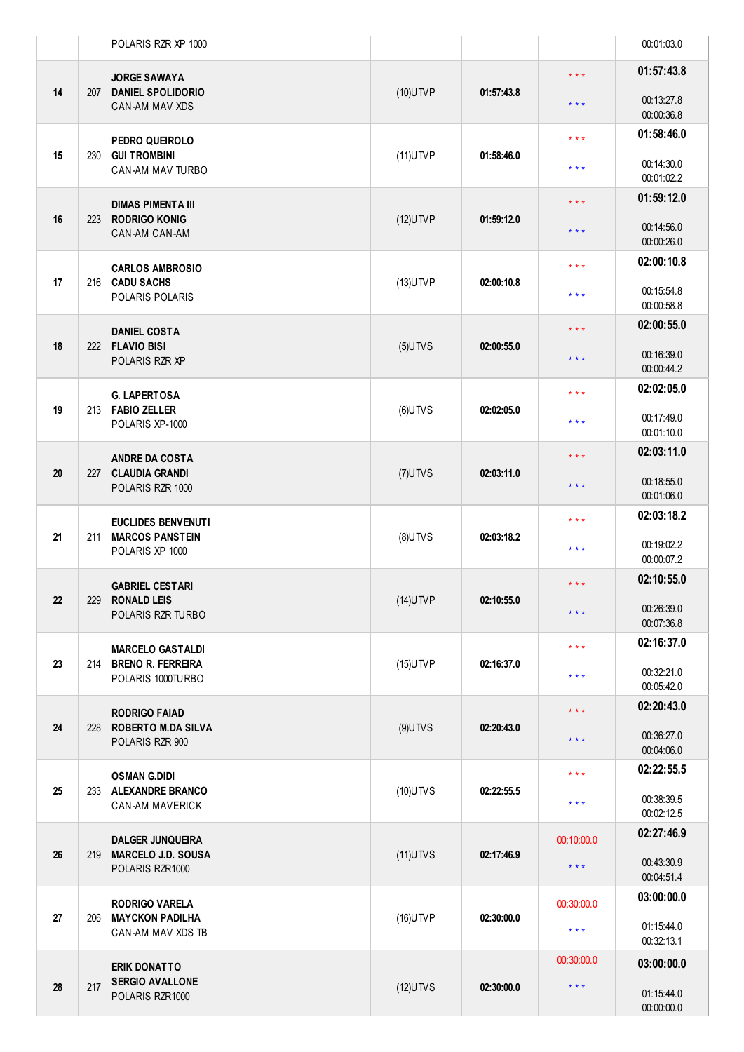|    |     | POLARIS RZR XP 1000                                                      |             |            |                         | 00:01:03.0               |
|----|-----|--------------------------------------------------------------------------|-------------|------------|-------------------------|--------------------------|
| 14 | 207 | <b>JORGE SAWAYA</b><br><b>DANIEL SPOLIDORIO</b><br><b>CAN-AM MAV XDS</b> | $(10)$ UTVP | 01:57:43.8 | $\star\star\star$       | 01:57:43.8               |
|    |     |                                                                          |             |            | $***$                   | 00:13:27.8<br>00:00:36.8 |
|    |     | PEDRO QUEIROLO<br><b>GUI TROMBINI</b><br><b>CAN-AM MAV TURBO</b>         | $(11)$ UTVP | 01:58:46.0 | $***$                   | 01:58:46.0               |
| 15 | 230 |                                                                          |             |            | * * *                   | 00:14:30.0<br>00:01:02.2 |
|    |     | <b>DIMAS PIMENTA III</b>                                                 |             | 01:59:12.0 | $***$                   | 01:59:12.0               |
| 16 | 223 | <b>RODRIGO KONIG</b><br>CAN-AM CAN-AM                                    | $(12)$ UTVP |            | $***$                   | 00:14:56.0<br>00:00:26.0 |
|    |     | <b>CARLOS AMBROSIO</b>                                                   |             | 02:00:10.8 | $***$                   | 02:00:10.8               |
| 17 | 216 | <b>CADU SACHS</b><br>POLARIS POLARIS                                     | $(13)$ UTVP |            | * * *                   | 00:15:54.8<br>00:00:58.8 |
|    |     | <b>DANIEL COSTA</b>                                                      |             | 02:00:55.0 | $\star \star \star$     | 02:00:55.0               |
| 18 | 222 | <b>FLAVIO BISI</b><br>POLARIS RZR XP                                     | $(5)$ UTVS  |            | $***$                   | 00:16:39.0<br>00:00:44.2 |
|    |     | <b>G. LAPERTOSA</b>                                                      |             | 02:02:05.0 | $***$                   | 02:02:05.0               |
| 19 | 213 | <b>FABIO ZELLER</b><br>POLARIS XP-1000                                   | $(6)$ UTVS  |            | * * *                   | 00:17:49.0<br>00:01:10.0 |
|    |     | <b>ANDRE DA COSTA</b><br><b>CLAUDIA GRANDI</b><br>POLARIS RZR 1000       |             |            | $* * *$                 | 02:03:11.0               |
| 20 | 227 |                                                                          | $(7)$ UTVS  | 02:03:11.0 | $***$                   | 00:18:55.0<br>00:01:06.0 |
|    | 211 | <b>EUCLIDES BENVENUTI</b><br><b>MARCOS PANSTEIN</b><br>POLARIS XP 1000   | $(8)$ UTVS  | 02:03:18.2 | $\star \star \star$     | 02:03:18.2               |
| 21 |     |                                                                          |             |            | * * *                   | 00:19:02.2<br>00:00:07.2 |
|    |     | <b>GABRIEL CESTARI</b>                                                   |             | 02:10:55.0 | $* * *$                 | 02:10:55.0               |
| 22 | 229 | <b>RONALD LEIS</b><br>POLARIS RZR TURBO                                  | $(14)$ UTVP |            | $***$                   | 00:26:39.0<br>00:07:36.8 |
|    |     | <b>MARCELO GASTALDI</b>                                                  |             | 02:16:37.0 | $***$                   | 02:16:37.0               |
| 23 | 214 | <b>BRENO R. FERREIRA</b><br>POLARIS 1000TURBO                            | $(15)$ UTVP |            | $***$                   | 00:32:21.0<br>00:05:42.0 |
|    |     | <b>RODRIGO FAIAD</b>                                                     |             |            | $***$                   | 02:20:43.0               |
| 24 | 228 | <b>ROBERTO M.DA SILVA</b><br>POLARIS RZR 900                             | $(9)$ UTVS  | 02:20:43.0 | $***$                   | 00:36:27.0<br>00:04:06.0 |
|    | 233 | <b>OSMAN G.DIDI</b><br><b>ALEXANDRE BRANCO</b><br><b>CAN-AM MAVERICK</b> | $(10)$ UTVS | 02:22:55.5 | $***$                   | 02:22:55.5               |
| 25 |     |                                                                          |             |            | $***$                   | 00:38:39.5<br>00:02:12.5 |
|    | 219 | <b>DALGER JUNQUEIRA</b><br><b>MARCELO J.D. SOUSA</b><br>POLARIS RZR1000  | $(11)$ UTVS | 02:17:46.9 | 00:10:00.0              | 02:27:46.9               |
| 26 |     |                                                                          |             |            | $\star$ $\star$ $\star$ | 00:43:30.9<br>00:04:51.4 |
|    |     | <b>RODRIGO VARELA</b>                                                    |             | 02:30:00.0 | 00:30:00.0              | 03:00:00.0               |
| 27 | 206 | <b>MAYCKON PADILHA</b><br>CAN-AM MAV XDS TB                              | $(16)$ UTVP |            | $\star$ $\star$ $\star$ | 01:15:44.0<br>00:32:13.1 |
| 28 | 217 | <b>ERIK DONATTO</b><br><b>SERGIO AVALLONE</b><br>POLARIS RZR1000         | $(12)$ UTVS | 02:30:00.0 | 00:30:00.0              | 03:00:00.0               |
|    |     |                                                                          |             |            | $***$                   | 01:15:44.0<br>00:00:00.0 |